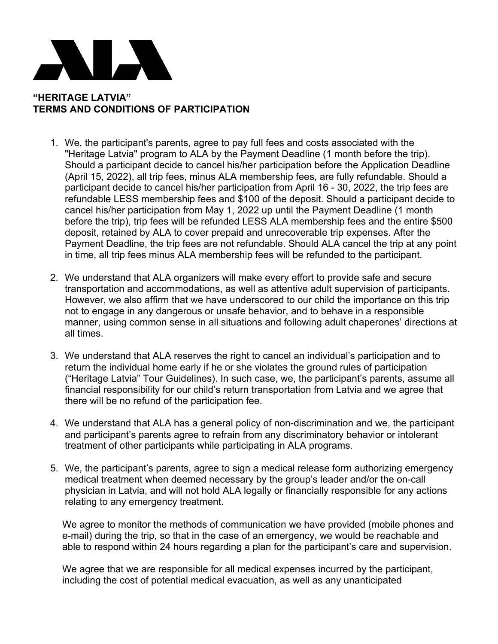

## **"HERITAGE LATVIA" TERMS AND CONDITIONS OF PARTICIPATION**

- 1. We, the participant's parents, agree to pay full fees and costs associated with the "Heritage Latvia" program to ALA by the Payment Deadline (1 month before the trip). Should a participant decide to cancel his/her participation before the Application Deadline (April 15, 2022), all trip fees, minus ALA membership fees, are fully refundable. Should a participant decide to cancel his/her participation from April 16 - 30, 2022, the trip fees are refundable LESS membership fees and \$100 of the deposit. Should a participant decide to cancel his/her participation from May 1, 2022 up until the Payment Deadline (1 month before the trip), trip fees will be refunded LESS ALA membership fees and the entire \$500 deposit, retained by ALA to cover prepaid and unrecoverable trip expenses. After the Payment Deadline, the trip fees are not refundable. Should ALA cancel the trip at any point in time, all trip fees minus ALA membership fees will be refunded to the participant.
- 2. We understand that ALA organizers will make every effort to provide safe and secure transportation and accommodations, as well as attentive adult supervision of participants. However, we also affirm that we have underscored to our child the importance on this trip not to engage in any dangerous or unsafe behavior, and to behave in a responsible manner, using common sense in all situations and following adult chaperones' directions at all times.
- 3. We understand that ALA reserves the right to cancel an individual's participation and to return the individual home early if he or she violates the ground rules of participation ("Heritage Latvia" Tour Guidelines). In such case, we, the participant's parents, assume all financial responsibility for our child's return transportation from Latvia and we agree that there will be no refund of the participation fee.
- 4. We understand that ALA has a general policy of non-discrimination and we, the participant and participant's parents agree to refrain from any discriminatory behavior or intolerant treatment of other participants while participating in ALA programs.
- 5. We, the participant's parents, agree to sign a medical release form authorizing emergency medical treatment when deemed necessary by the group's leader and/or the on-call physician in Latvia, and will not hold ALA legally or financially responsible for any actions relating to any emergency treatment.

We agree to monitor the methods of communication we have provided (mobile phones and e-mail) during the trip, so that in the case of an emergency, we would be reachable and able to respond within 24 hours regarding a plan for the participant's care and supervision.

We agree that we are responsible for all medical expenses incurred by the participant, including the cost of potential medical evacuation, as well as any unanticipated